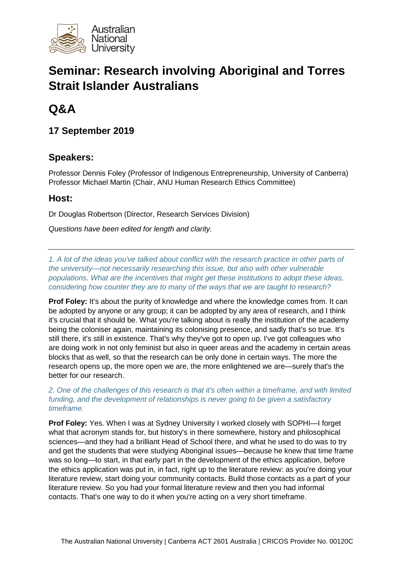

# **Seminar: Research involving Aboriginal and Torres Strait Islander Australians**

# **Q&A**

**17 September 2019**

## **Speakers:**

Professor Dennis Foley (Professor of Indigenous Entrepreneurship, University of Canberra) Professor Michael Martin (Chair, ANU Human Research Ethics Committee)

## **Host:**

Dr Douglas Robertson (Director, Research Services Division)

*Questions have been edited for length and clarity.*

*1. A lot of the ideas you've talked about conflict with the research practice in other parts of the university—not necessarily researching this issue, but also with other vulnerable populations. What are the incentives that might get these institutions to adopt these ideas, considering how counter they are to many of the ways that we are taught to research?* 

**Prof Foley:** It's about the purity of knowledge and where the knowledge comes from. It can be adopted by anyone or any group; it can be adopted by any area of research, and I think it's crucial that it should be. What you're talking about is really the institution of the academy being the coloniser again, maintaining its colonising presence, and sadly that's so true. It's still there, it's still in existence. That's why they've got to open up. I've got colleagues who are doing work in not only feminist but also in queer areas and the academy in certain areas blocks that as well, so that the research can be only done in certain ways. The more the research opens up, the more open we are, the more enlightened we are—surely that's the better for our research.

*2. One of the challenges of this research is that it's often within a timeframe, and with limited funding, and the development of relationships is never going to be given a satisfactory timeframe.* 

**Prof Foley:** Yes. When I was at Sydney University I worked closely with SOPHI—I forget what that acronym stands for, but history's in there somewhere, history and philosophical sciences—and they had a brilliant Head of School there, and what he used to do was to try and get the students that were studying Aboriginal issues—because he knew that time frame was so long—to start, in that early part in the development of the ethics application, before the ethics application was put in, in fact, right up to the literature review: as you're doing your literature review, start doing your community contacts. Build those contacts as a part of your literature review. So you had your formal literature review and then you had informal contacts. That's one way to do it when you're acting on a very short timeframe.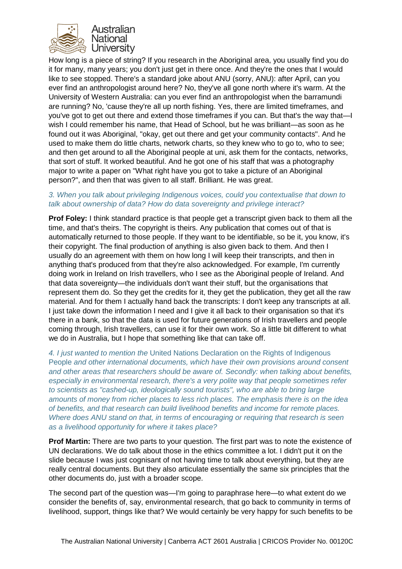

How long is a piece of string? If you research in the Aboriginal area, you usually find you do it for many, many years; you don't just get in there once. And they're the ones that I would like to see stopped. There's a standard joke about ANU (sorry, ANU): after April, can you ever find an anthropologist around here? No, they've all gone north where it's warm. At the University of Western Australia: can you ever find an anthropologist when the barramundi are running? No, 'cause they're all up north fishing. Yes, there are limited timeframes, and you've got to get out there and extend those timeframes if you can. But that's the way that—I wish I could remember his name, that Head of School, but he was brilliant—as soon as he found out it was Aboriginal, "okay, get out there and get your community contacts". And he used to make them do little charts, network charts, so they knew who to go to, who to see; and then get around to all the Aboriginal people at uni, ask them for the contacts, networks, that sort of stuff. It worked beautiful. And he got one of his staff that was a photography major to write a paper on "What right have you got to take a picture of an Aboriginal person?", and then that was given to all staff. Brilliant. He was great.

#### *3. When you talk about privileging Indigenous voices, could you contextualise that down to talk about ownership of data? How do data sovereignty and privilege interact?*

**Prof Foley:** I think standard practice is that people get a transcript given back to them all the time, and that's theirs. The copyright is theirs. Any publication that comes out of that is automatically returned to those people. If they want to be identifiable, so be it, you know, it's their copyright. The final production of anything is also given back to them. And then I usually do an agreement with them on how long I will keep their transcripts, and then in anything that's produced from that they're also acknowledged. For example, I'm currently doing work in Ireland on Irish travellers, who I see as the Aboriginal people of Ireland. And that data sovereignty—the individuals don't want their stuff, but the organisations that represent them do. So they get the credits for it, they get the publication, they get all the raw material. And for them I actually hand back the transcripts: I don't keep any transcripts at all. I just take down the information I need and I give it all back to their organisation so that it's there in a bank, so that the data is used for future generations of Irish travellers and people coming through, Irish travellers, can use it for their own work. So a little bit different to what we do in Australia, but I hope that something like that can take off.

*4. I just wanted to mention the* United Nations Declaration on the Rights of Indigenous People *and other international documents, which have their own provisions around consent and other areas that researchers should be aware of. Secondly: when talking about benefits, especially in environmental research, there's a very polite way that people sometimes refer to scientists as "cashed-up, ideologically sound tourists", who are able to bring large amounts of money from richer places to less rich places. The emphasis there is on the idea of benefits, and that research can build livelihood benefits and income for remote places. Where does ANU stand on that, in terms of encouraging or requiring that research is seen as a livelihood opportunity for where it takes place?*

**Prof Martin:** There are two parts to your question. The first part was to note the existence of UN declarations. We do talk about those in the ethics committee a lot. I didn't put it on the slide because I was just cognisant of not having time to talk about everything, but they are really central documents. But they also articulate essentially the same six principles that the other documents do, just with a broader scope.

The second part of the question was—I'm going to paraphrase here—to what extent do we consider the benefits of, say, environmental research, that go back to community in terms of livelihood, support, things like that? We would certainly be very happy for such benefits to be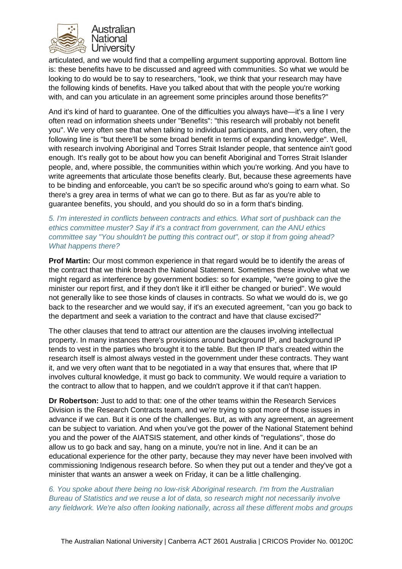

articulated, and we would find that a compelling argument supporting approval. Bottom line is: these benefits have to be discussed and agreed with communities. So what we would be looking to do would be to say to researchers, "look, we think that your research may have the following kinds of benefits. Have you talked about that with the people you're working with, and can you articulate in an agreement some principles around those benefits?"

And it's kind of hard to guarantee. One of the difficulties you always have—it's a line I very often read on information sheets under "Benefits": "this research will probably not benefit you". We very often see that when talking to individual participants, and then, very often, the following line is "but there'll be some broad benefit in terms of expanding knowledge". Well, with research involving Aboriginal and Torres Strait Islander people, that sentence ain't good enough. It's really got to be about how you can benefit Aboriginal and Torres Strait Islander people, and, where possible, the communities within which you're working. And you have to write agreements that articulate those benefits clearly. But, because these agreements have to be binding and enforceable, you can't be so specific around who's going to earn what. So there's a grey area in terms of what we can go to there. But as far as you're able to guarantee benefits, you should, and you should do so in a form that's binding.

### *5. I'm interested in conflicts between contracts and ethics. What sort of pushback can the ethics committee muster? Say if it's a contract from government, can the ANU ethics committee say "You shouldn't be putting this contract out", or stop it from going ahead? What happens there?*

**Prof Martin:** Our most common experience in that regard would be to identify the areas of the contract that we think breach the National Statement. Sometimes these involve what we might regard as interference by government bodies: so for example, "we're going to give the minister our report first, and if they don't like it it'll either be changed or buried". We would not generally like to see those kinds of clauses in contracts. So what we would do is, we go back to the researcher and we would say, if it's an executed agreement, "can you go back to the department and seek a variation to the contract and have that clause excised?"

The other clauses that tend to attract our attention are the clauses involving intellectual property. In many instances there's provisions around background IP, and background IP tends to vest in the parties who brought it to the table. But then IP that's created within the research itself is almost always vested in the government under these contracts. They want it, and we very often want that to be negotiated in a way that ensures that, where that IP involves cultural knowledge, it must go back to community. We would require a variation to the contract to allow that to happen, and we couldn't approve it if that can't happen.

**Dr Robertson:** Just to add to that: one of the other teams within the Research Services Division is the Research Contracts team, and we're trying to spot more of those issues in advance if we can. But it is one of the challenges. But, as with any agreement, an agreement can be subject to variation. And when you've got the power of the National Statement behind you and the power of the AIATSIS statement, and other kinds of "regulations", those do allow us to go back and say, hang on a minute, you're not in line. And it can be an educational experience for the other party, because they may never have been involved with commissioning Indigenous research before. So when they put out a tender and they've got a minister that wants an answer a week on Friday, it can be a little challenging.

*6. You spoke about there being no low-risk Aboriginal research. I'm from the Australian Bureau of Statistics and we reuse a lot of data, so research might not necessarily involve any fieldwork. We're also often looking nationally, across all these different mobs and groups*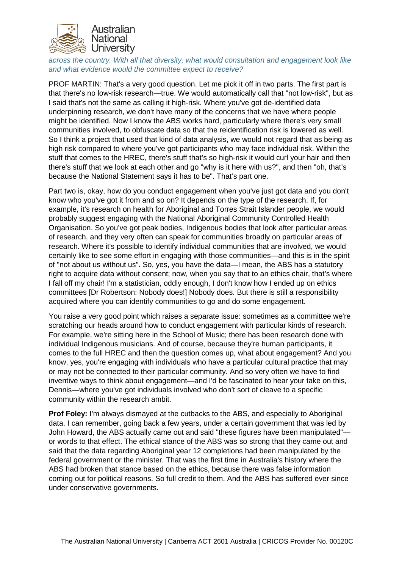

*across the country. With all that diversity, what would consultation and engagement look like and what evidence would the committee expect to receive?* 

PROF MARTIN: That's a very good question. Let me pick it off in two parts. The first part is that there's no low-risk research—true. We would automatically call that "not low-risk", but as I said that's not the same as calling it high-risk. Where you've got de-identified data underpinning research, we don't have many of the concerns that we have where people might be identified. Now I know the ABS works hard, particularly where there's very small communities involved, to obfuscate data so that the reidentification risk is lowered as well. So I think a project that used that kind of data analysis, we would not regard that as being as high risk compared to where you've got participants who may face individual risk. Within the stuff that comes to the HREC, there's stuff that's so high-risk it would curl your hair and then there's stuff that we look at each other and go "why is it here with us?", and then "oh, that's because the National Statement says it has to be". That's part one.

Part two is, okay, how do you conduct engagement when you've just got data and you don't know who you've got it from and so on? It depends on the type of the research. If, for example, it's research on health for Aboriginal and Torres Strait Islander people, we would probably suggest engaging with the National Aboriginal Community Controlled Health Organisation. So you've got peak bodies, Indigenous bodies that look after particular areas of research, and they very often can speak for communities broadly on particular areas of research. Where it's possible to identify individual communities that are involved, we would certainly like to see some effort in engaging with those communities—and this is in the spirit of "not about us without us". So, yes, you have the data—I mean, the ABS has a statutory right to acquire data without consent; now, when you say that to an ethics chair, that's where I fall off my chair! I'm a statistician, oddly enough, I don't know how I ended up on ethics committees [Dr Robertson: Nobody does!] Nobody does. But there is still a responsibility acquired where you can identify communities to go and do some engagement.

You raise a very good point which raises a separate issue: sometimes as a committee we're scratching our heads around how to conduct engagement with particular kinds of research. For example, we're sitting here in the School of Music; there has been research done with individual Indigenous musicians. And of course, because they're human participants, it comes to the full HREC and then the question comes up, what about engagement? And you know, yes, you're engaging with individuals who have a particular cultural practice that may or may not be connected to their particular community. And so very often we have to find inventive ways to think about engagement—and I'd be fascinated to hear your take on this, Dennis—where you've got individuals involved who don't sort of cleave to a specific community within the research ambit.

**Prof Foley:** I'm always dismayed at the cutbacks to the ABS, and especially to Aboriginal data. I can remember, going back a few years, under a certain government that was led by John Howard, the ABS actually came out and said "these figures have been manipulated" or words to that effect. The ethical stance of the ABS was so strong that they came out and said that the data regarding Aboriginal year 12 completions had been manipulated by the federal government or the minister. That was the first time in Australia's history where the ABS had broken that stance based on the ethics, because there was false information coming out for political reasons. So full credit to them. And the ABS has suffered ever since under conservative governments.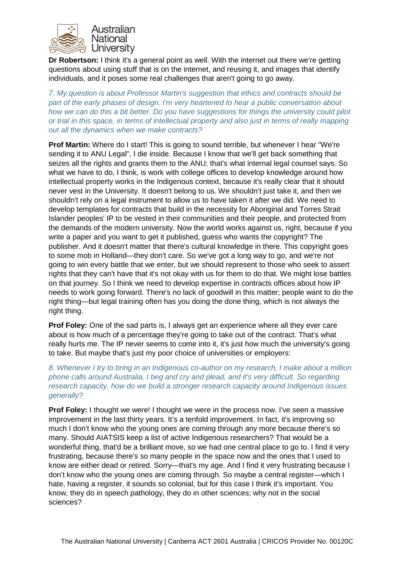

**Dr Robertson:** I think it's a general point as well. With the internet out there we're getting questions about using stuff that is on the internet, and reusing it, and images that identify individuals, and it poses some real challenges that aren't going to go away.

*7. My question is about Professor Martin's suggestion that ethics and contracts should be part of the early phases of design. I'm very heartened to hear a public conversation about how we can do this a bit better. Do you have suggestions for things the university could pilot or trial in this space, in terms of intellectual property and also just in terms of really mapping out all the dynamics when we make contracts?*

**Prof Martin:** Where do I start! This is going to sound terrible, but whenever I hear "We're sending it to ANU Legal", I die inside. Because I know that we'll get back something that seizes all the rights and grants them to the ANU; that's what internal legal counsel says. So what we have to do, I think, is work with college offices to develop knowledge around how intellectual property works in the Indigenous context, because it's really clear that it should never vest in the University. It doesn't belong to us. We shouldn't just take it, and then we shouldn't rely on a legal instrument to allow us to have taken it after we did. We need to develop templates for contracts that build in the necessity for Aboriginal and Torres Strait Islander peoples' IP to be vested in their communities and their people, and protected from the demands of the modern university. Now the world works against us, right, because if you write a paper and you want to get it published, guess who wants the copyright? The publisher. And it doesn't matter that there's cultural knowledge in there. This copyright goes to some mob in Holland—they don't care. So we've got a long way to go, and we're not going to win every battle that we enter, but we should represent to those who seek to assert rights that they can't have that it's not okay with us for them to do that. We might lose battles on that journey. So I think we need to develop expertise in contracts offices about how IP needs to work going forward. There's no lack of goodwill in this matter; people want to do the right thing—but legal training often has you doing the done thing, which is not always the right thing.

**Prof Foley:** One of the sad parts is, I always get an experience where all they ever care about is how much of a percentage they're going to take out of the contract. That's what really hurts me. The IP never seems to come into it, it's just how much the university's going to take. But maybe that's just my poor choice of universities or employers:

### *8. Whenever I try to bring in an Indigenous co-author on my research, I make about a million phone calls around Australia, I beg and cry and plead, and it's very difficult. So regarding research capacity, how do we build a stronger research capacity around Indigenous issues generally?*

**Prof Foley:** I thought we were! I thought we were in the process now. I've seen a massive improvement in the last thirty years. It's a tenfold improvement. In fact, it's improving so much I don't know who the young ones are coming through any more because there's so many. Should AIATSIS keep a list of active Indigenous researchers? That would be a wonderful thing, that'd be a brilliant move, so we had one central place to go to. I find it very frustrating, because there's so many people in the space now and the ones that I used to know are either dead or retired. Sorry—that's my age. And I find it very frustrating because I don't know who the young ones are coming through. So maybe a central register—which I hate, having a register, it sounds so colonial, but for this case I think it's important. You know, they do in speech pathology, they do in other sciences; why not in the social sciences?